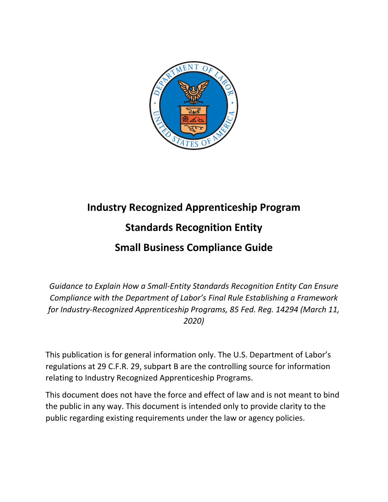

# **Industry Recognized Apprenticeship Program Standards Recognition Entity Small Business Compliance Guide**

*Guidance to Explain How a Small-Entity Standards Recognition Entity Can Ensure Compliance with the Department of Labor's Final Rule Establishing a Framework for Industry-Recognized Apprenticeship Programs, 85 Fed. Reg. 14294 (March 11, 2020)*

This publication is for general information only. The U.S. Department of Labor's regulations at 29 C.F.R. 29, subpart B are the controlling source for information relating to Industry Recognized Apprenticeship Programs.

This document does not have the force and effect of law and is not meant to bind the public in any way. This document is intended only to provide clarity to the public regarding existing requirements under the law or agency policies.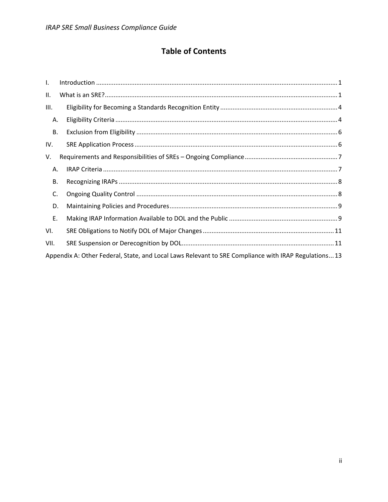# **Table of Contents**

| $\mathbf{I}$ .                                                                                       |  |
|------------------------------------------------------------------------------------------------------|--|
| II.                                                                                                  |  |
| III.                                                                                                 |  |
| Α.                                                                                                   |  |
| В.                                                                                                   |  |
| IV.                                                                                                  |  |
| V.                                                                                                   |  |
| Α.                                                                                                   |  |
| В.                                                                                                   |  |
| C.                                                                                                   |  |
| D.                                                                                                   |  |
| Ε.                                                                                                   |  |
| VI.                                                                                                  |  |
| VII.                                                                                                 |  |
| Appendix A: Other Federal, State, and Local Laws Relevant to SRE Compliance with IRAP Regulations 13 |  |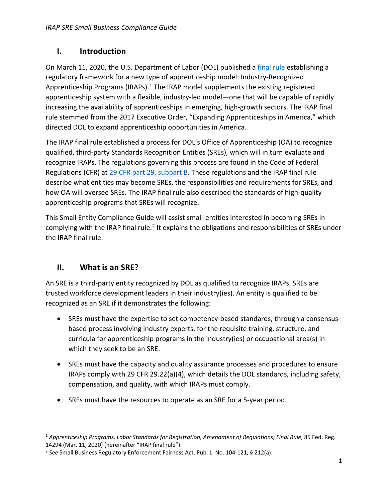## <span id="page-2-0"></span>**I. Introduction**

On March 11, 2020, the U.S. Department of Labor (DOL) published a [final rule](https://www.federalregister.gov/documents/2020/03/11/2020-03605/apprenticeship-programs-labor-standards-for-registration-amendment-of-regulations) establishing a regulatory framework for a new type of apprenticeship model: Industry-Recognized Apprenticeship Programs (IRAPs).<sup>1</sup> The IRAP model supplements the existing registered apprenticeship system with a flexible, industry-led model—one that will be capable of rapidly increasing the availability of apprenticeships in emerging, high-growth sectors. The IRAP final rule stemmed from the 2017 Executive Order, "Expanding Apprenticeships in America," which directed DOL to expand apprenticeship opportunities in America.

The IRAP final rule established a process for DOL's Office of Apprenticeship (OA) to recognize qualified, third-party Standards Recognition Entities (SREs), which will in turn evaluate and recognize IRAPs. The regulations governing this process are found in the Code of Federal Regulations (CFR) at [29 CFR part 29, subpart B.](https://www.ecfr.gov/cgi-bin/text-idx?SID=220a6b9787d4892baf09fdbcdbceadfa&mc=true&node=pt29.1.29&rgn=div5) These regulations and the IRAP final rule describe what entities may become SREs, the responsibilities and requirements for SREs, and how OA will oversee SREs. The IRAP final rule also described the standards of high-quality apprenticeship programs that SREs will recognize.

This Small Entity Compliance Guide will assist small-entities interested in becoming SREs in complying with the IRAP final rule.<sup>2</sup> It explains the obligations and responsibilities of SREs under the IRAP final rule.

## <span id="page-2-1"></span>**II. What is an SRE?**

An SRE is a third-party entity recognized by DOL as qualified to recognize IRAPs. SREs are trusted workforce development leaders in their industry(ies). An entity is qualified to be recognized as an SRE if it demonstrates the following:

- SREs must have the expertise to set competency-based standards, through a consensusbased process involving industry experts, for the requisite training, structure, and curricula for apprenticeship programs in the industry(ies) or occupational area(s) in which they seek to be an SRE.
- SREs must have the capacity and quality assurance processes and procedures to ensure IRAPs comply with 29 CFR 29.22(a)(4), which details the DOL standards, including safety, compensation, and quality, with which IRAPs must comply.
- SREs must have the resources to operate as an SRE for a 5-year period.

<sup>&</sup>lt;sup>1</sup> Apprenticeship Programs, Labor Standards for Registration, Amendment of Regulations; Final Rule, 85 Fed. Reg. 14294 (Mar. 11, 2020) (hereinafter "IRAP final rule").

<sup>2</sup> *See* Small Business Regulatory Enforcement Fairness Act, Pub. L. No. 104-121, § 212(a).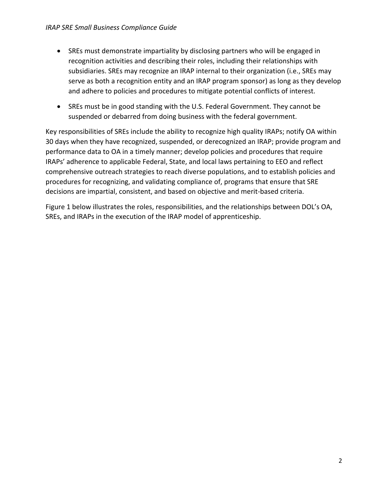- SREs must demonstrate impartiality by disclosing partners who will be engaged in recognition activities and describing their roles, including their relationships with subsidiaries. SREs may recognize an IRAP internal to their organization (i.e., SREs may serve as both a recognition entity and an IRAP program sponsor) as long as they develop and adhere to policies and procedures to mitigate potential conflicts of interest.
- SREs must be in good standing with the U.S. Federal Government. They cannot be suspended or debarred from doing business with the federal government.

Key responsibilities of SREs include the ability to recognize high quality IRAPs; notify OA within 30 days when they have recognized, suspended, or derecognized an IRAP; provide program and performance data to OA in a timely manner; develop policies and procedures that require IRAPs' adherence to applicable Federal, State, and local laws pertaining to EEO and reflect comprehensive outreach strategies to reach diverse populations, and to establish policies and procedures for recognizing, and validating compliance of, programs that ensure that SRE decisions are impartial, consistent, and based on objective and merit-based criteria.

Figure 1 below illustrates the roles, responsibilities, and the relationships between DOL's OA, SREs, and IRAPs in the execution of the IRAP model of apprenticeship.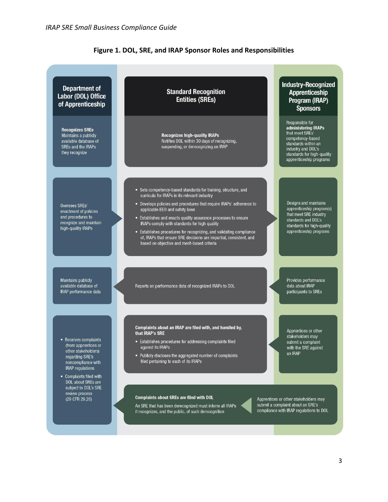

#### **Figure 1. DOL, SRE, and IRAP Sponsor Roles and Responsibilities**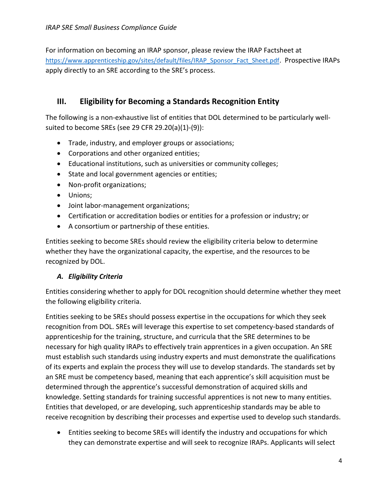For information on becoming an IRAP sponsor, please review the IRAP Factsheet at [https://www.apprenticeship.gov/sites/default/files/IRAP\\_Sponsor\\_Fact\\_Sheet.pdf](https://www.apprenticeship.gov/sites/default/files/IRAP_Sponsor_Fact_Sheet.pdf). Prospective IRAPs apply directly to an SRE according to the SRE's process.

## <span id="page-5-0"></span>**III. Eligibility for Becoming a Standards Recognition Entity**

The following is a non-exhaustive list of entities that DOL determined to be particularly wellsuited to become SREs (see 29 CFR 29.20(a)(1)-(9)):

- Trade, industry, and employer groups or associations;
- Corporations and other organized entities;
- Educational institutions, such as universities or community colleges;
- State and local government agencies or entities;
- Non-profit organizations;
- Unions;
- Joint labor-management organizations;
- Certification or accreditation bodies or entities for a profession or industry; or
- A consortium or partnership of these entities.

Entities seeking to become SREs should review the eligibility criteria below to determine whether they have the organizational capacity, the expertise, and the resources to be recognized by DOL.

#### <span id="page-5-1"></span>*A. Eligibility Criteria*

Entities considering whether to apply for DOL recognition should determine whether they meet the following eligibility criteria.

Entities seeking to be SREs should possess expertise in the occupations for which they seek recognition from DOL. SREs will leverage this expertise to set competency-based standards of apprenticeship for the training, structure, and curricula that the SRE determines to be necessary for high quality IRAPs to effectively train apprentices in a given occupation. An SRE must establish such standards using industry experts and must demonstrate the qualifications of its experts and explain the process they will use to develop standards. The standards set by an SRE must be competency based, meaning that each apprentice's skill acquisition must be determined through the apprentice's successful demonstration of acquired skills and knowledge. Setting standards for training successful apprentices is not new to many entities. Entities that developed, or are developing, such apprenticeship standards may be able to receive recognition by describing their processes and expertise used to develop such standards.

• Entities seeking to become SREs will identify the industry and occupations for which they can demonstrate expertise and will seek to recognize IRAPs. Applicants will select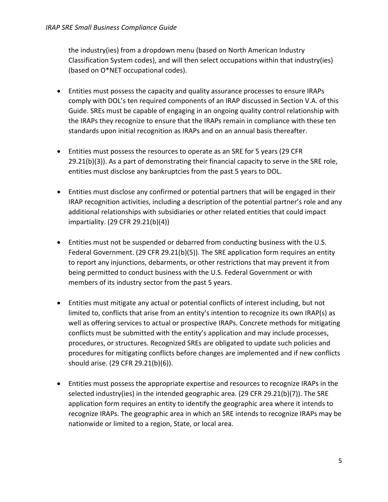the industry(ies) from a dropdown menu (based on [North American Industry](https://www.census.gov/eos/www/naics/)  [Classification System](https://www.census.gov/eos/www/naics/) codes), and will then select occupations within that industry(ies) (based o[n O\\*NET](https://www.onetonline.org/) occupational codes).

- Entities must possess the capacity and quality assurance processes to ensure IRAPs comply with DOL's ten required components of an IRAP discussed in Section V.A. of this Guide. SREs must be capable of engaging in an ongoing quality control relationship with the IRAPs they recognize to ensure that the IRAPs remain in compliance with these ten standards upon initial recognition as IRAPs and on an annual basis thereafter.
- Entities must possess the resources to operate as an SRE for 5 years (29 CFR 29.21(b)(3)). As a part of demonstrating their financial capacity to serve in the SRE role, entities must disclose any bankruptcies from the past 5 years to DOL.
- Entities must disclose any confirmed or potential partners that will be engaged in their IRAP recognition activities, including a description of the potential partner's role and any additional relationships with subsidiaries or other related entities that could impact impartiality. (29 CFR 29.21(b)(4))
- Entities must not be suspended or debarred from conducting business with the U.S. Federal Government. (29 CFR 29.21(b)(5)). The SRE application form requires an entity to report any injunctions, debarments, or other restrictions that may prevent it from being permitted to conduct business with the U.S. Federal Government or with members of its industry sector from the past 5 years.
- Entities must mitigate any actual or potential conflicts of interest including, but not limited to, conflicts that arise from an entity's intention to recognize its own IRAP(s) as well as offering services to actual or prospective IRAPs. Concrete methods for mitigating conflicts must be submitted with the entity's application and may include processes, procedures, or structures. Recognized SREs are obligated to update such policies and procedures for mitigating conflicts before changes are implemented and if new conflicts should arise. (29 CFR 29.21(b)(6)).
- Entities must possess the appropriate expertise and resources to recognize IRAPs in the selected industry(ies) in the intended geographic area. (29 CFR 29.21(b)(7)). The SRE application form requires an entity to identify the geographic area where it intends to recognize IRAPs. The geographic area in which an SRE intends to recognize IRAPs may be nationwide or limited to a region, State, or local area.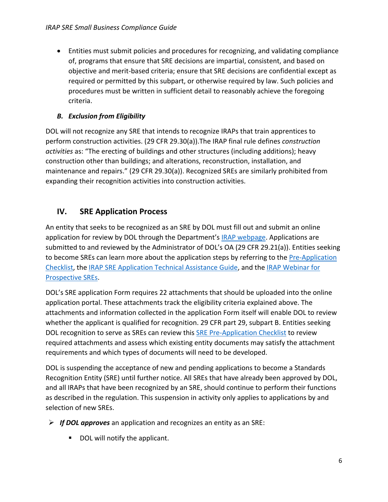• Entities must submit policies and procedures for recognizing, and validating compliance of, programs that ensure that SRE decisions are impartial, consistent, and based on objective and merit-based criteria; ensure that SRE decisions are confidential except as required or permitted by this subpart, or otherwise required by law. Such policies and procedures must be written in sufficient detail to reasonably achieve the foregoing criteria.

## <span id="page-7-0"></span>*B. Exclusion from Eligibility*

DOL will not recognize any SRE that intends to recognize IRAPs that train apprentices to perform construction activities. (29 CFR 29.30(a)).The IRAP final rule defines *construction activities* as: "The erecting of buildings and other structures (including additions); heavy construction other than buildings; and alterations, reconstruction, installation, and maintenance and repairs." (29 CFR 29.30(a)). Recognized SREs are similarly prohibited from expanding their recognition activities into construction activities.

## <span id="page-7-1"></span>**IV. SRE Application Process**

An entity that seeks to be recognized as an SRE by DOL must fill out and submit an online application for review by DOL through the Department's IRAP [webpage.](https://www.apprenticeship.gov/industry-recognized-apprenticeship-program) Applications are submitted to and reviewed by the Administrator of DOL's OA (29 CFR 29.21(a)). Entities seeking to become SREs can learn more about the application steps by referring to the Pre-Application [Checklist,](https://www.apprenticeship.gov/sites/default/files/IRAP_SRE_Application_Checklist.pdf) the [IRAP SRE Application Technical Assistance Guide,](https://www.apprenticeship.gov/sites/default/files/IRAP_SRE_Technical_Guide.pdf) and the [IRAP Webinar for](https://www.workforcegps.org/events/2020/03/06/17/25/Industry-Recognized-Apprenticeship-Programs-Information-for-SREs-and-Potential-IRAP-Providers)  [Prospective SREs.](https://www.workforcegps.org/events/2020/03/06/17/25/Industry-Recognized-Apprenticeship-Programs-Information-for-SREs-and-Potential-IRAP-Providers)

DOL's SRE application Form requires 22 attachments that should be uploaded into the online application portal. These attachments track the eligibility criteria explained above. The attachments and information collected in the application Form itself will enable DOL to review whether the applicant is qualified for recognition. 29 CFR part 29, subpart B. Entities seeking DOL recognition to serve as SREs can review this **SRE Pre-Application Checklist** to review required attachments and assess which existing entity documents may satisfy the attachment requirements and which types of documents will need to be developed.

DOL is suspending the acceptance of new and pending applications to become a Standards Recognition Entity (SRE) until further notice. All SREs that have already been approved by DOL, and all IRAPs that have been recognized by an SRE, should continue to perform their functions as described in the regulation. This suspension in activity only applies to applications by and selection of new SREs.

- ➢ *If DOL approves* an application and recognizes an entity as an SRE:
	- DOL will notify the applicant.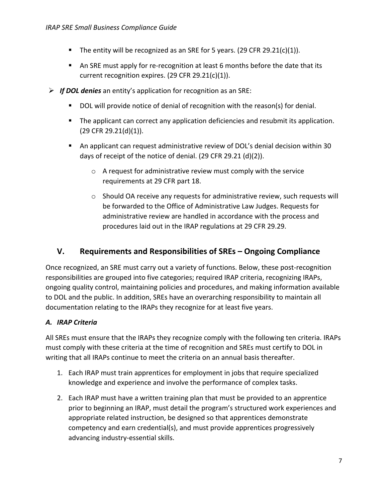- **The entity will be recognized as an SRE for 5 years. (29 CFR 29.21(c)(1)).**
- An SRE must apply for re-recognition at least 6 months before the date that its current recognition expires. (29 CFR 29.21(c)(1)).
- ➢ *If DOL denies* an entity's application for recognition as an SRE:
	- DOL will provide notice of denial of recognition with the reason(s) for denial.
	- **•** The applicant can correct any application deficiencies and resubmit its application. (29 CFR 29.21(d)(1)).
	- An applicant can request administrative review of DOL's denial decision within 30 days of receipt of the notice of denial. (29 CFR 29.21 (d)(2)).
		- o A request for administrative review must comply with the service requirements at 29 CFR part 18.
		- $\circ$  Should OA receive any requests for administrative review, such requests will be forwarded to the Office of Administrative Law Judges. Requests for administrative review are handled in accordance with the process and procedures laid out in the IRAP regulations at 29 CFR 29.29.

### <span id="page-8-0"></span>**V. Requirements and Responsibilities of SREs – Ongoing Compliance**

Once recognized, an SRE must carry out a variety of functions. Below, these post-recognition responsibilities are grouped into five categories; required IRAP criteria, recognizing IRAPs, ongoing quality control, maintaining policies and procedures, and making information available to DOL and the public. In addition, SREs have an overarching responsibility to maintain all documentation relating to the IRAPs they recognize for at least five years.

#### <span id="page-8-1"></span>*A. IRAP Criteria*

All SREs must ensure that the IRAPs they recognize comply with the following ten criteria. IRAPs must comply with these criteria at the time of recognition and SREs must certify to DOL in writing that all IRAPs continue to meet the criteria on an annual basis thereafter.

- 1. Each IRAP must train apprentices for employment in jobs that require specialized knowledge and experience and involve the performance of complex tasks.
- 2. Each IRAP must have a written training plan that must be provided to an apprentice prior to beginning an IRAP, must detail the program's structured work experiences and appropriate related instruction, be designed so that apprentices demonstrate competency and earn credential(s), and must provide apprentices progressively advancing industry-essential skills.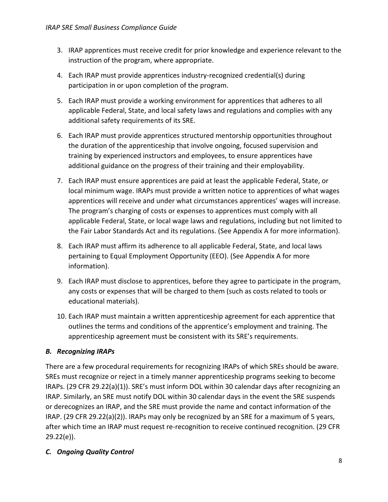- 3. IRAP apprentices must receive credit for prior knowledge and experience relevant to the instruction of the program, where appropriate.
- 4. Each IRAP must provide apprentices industry-recognized credential(s) during participation in or upon completion of the program.
- 5. Each IRAP must provide a working environment for apprentices that adheres to all applicable Federal, State, and local safety laws and regulations and complies with any additional safety requirements of its SRE.
- 6. Each IRAP must provide apprentices structured mentorship opportunities throughout the duration of the apprenticeship that involve ongoing, focused supervision and training by experienced instructors and employees, to ensure apprentices have additional guidance on the progress of their training and their employability.
- 7. Each IRAP must ensure apprentices are paid at least the applicable Federal, State, or local minimum wage. IRAPs must provide a written notice to apprentices of what wages apprentices will receive and under what circumstances apprentices' wages will increase. The program's charging of costs or expenses to apprentices must comply with all applicable Federal, State, or local wage laws and regulations, including but not limited to the Fair Labor Standards Act and its regulations. (See Appendix A for more information).
- 8. Each IRAP must affirm its adherence to all applicable Federal, State, and local laws pertaining to Equal Employment Opportunity (EEO). (See Appendix A for more information).
- 9. Each IRAP must disclose to apprentices, before they agree to participate in the program, any costs or expenses that will be charged to them (such as costs related to tools or educational materials).
- 10. Each IRAP must maintain a written apprenticeship agreement for each apprentice that outlines the terms and conditions of the apprentice's employment and training. The apprenticeship agreement must be consistent with its SRE's requirements.

## <span id="page-9-0"></span>*B. Recognizing IRAPs*

There are a few procedural requirements for recognizing IRAPs of which SREs should be aware. SREs must recognize or reject in a timely manner apprenticeship programs seeking to become IRAPs. (29 CFR 29.22(a)(1)). SRE's must inform DOL within 30 calendar days after recognizing an IRAP. Similarly, an SRE must notify DOL within 30 calendar days in the event the SRE suspends or derecognizes an IRAP, and the SRE must provide the name and contact information of the IRAP. (29 CFR 29.22(a)(2)). IRAPs may only be recognized by an SRE for a maximum of 5 years, after which time an IRAP must request re-recognition to receive continued recognition. (29 CFR 29.22(e)).

#### <span id="page-9-1"></span>*C. Ongoing Quality Control*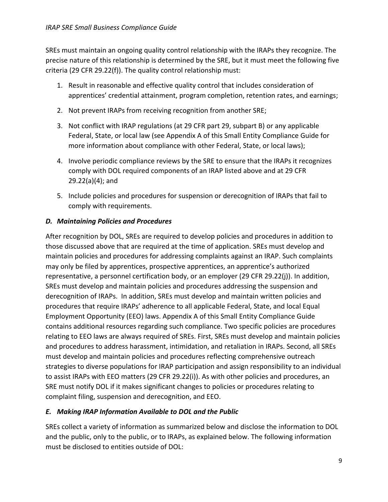SREs must maintain an ongoing quality control relationship with the IRAPs they recognize. The precise nature of this relationship is determined by the SRE, but it must meet the following five criteria (29 CFR 29.22(f)). The quality control relationship must:

- 1. Result in reasonable and effective quality control that includes consideration of apprentices' credential attainment, program completion, retention rates, and earnings;
- 2. Not prevent IRAPs from receiving recognition from another SRE;
- 3. Not conflict with IRAP regulations (at 29 CFR part 29, subpart B) or any applicable Federal, State, or local law (see Appendix A of this Small Entity Compliance Guide for more information about compliance with other Federal, State, or local laws);
- 4. Involve periodic compliance reviews by the SRE to ensure that the IRAPs it recognizes comply with DOL required components of an IRAP listed above and at 29 CFR 29.22(a)(4); and
- 5. Include policies and procedures for suspension or derecognition of IRAPs that fail to comply with requirements.

#### <span id="page-10-0"></span>*D. Maintaining Policies and Procedures*

After recognition by DOL, SREs are required to develop policies and procedures in addition to those discussed above that are required at the time of application. SREs must develop and maintain policies and procedures for addressing complaints against an IRAP. Such complaints may only be filed by apprentices, prospective apprentices, an apprentice's authorized representative, a personnel certification body, or an employer (29 CFR 29.22(j)). In addition, SREs must develop and maintain policies and procedures addressing the suspension and derecognition of IRAPs. In addition, SREs must develop and maintain written policies and procedures that require IRAPs' adherence to all applicable Federal, State, and local Equal Employment Opportunity (EEO) laws. Appendix A of this Small Entity Compliance Guide contains additional resources regarding such compliance. Two specific policies are procedures relating to EEO laws are always required of SREs. First, SREs must develop and maintain policies and procedures to address harassment, intimidation, and retaliation in IRAPs. Second, all SREs must develop and maintain policies and procedures reflecting comprehensive outreach strategies to diverse populations for IRAP participation and assign responsibility to an individual to assist IRAPs with EEO matters (29 CFR 29.22(i)). As with other policies and procedures, an SRE must notify DOL if it makes significant changes to policies or procedures relating to complaint filing, suspension and derecognition, and EEO.

#### <span id="page-10-1"></span>*E. Making IRAP Information Available to DOL and the Public*

SREs collect a variety of information as summarized below and disclose the information to DOL and the public, only to the public, or to IRAPs, as explained below. The following information must be disclosed to entities outside of DOL: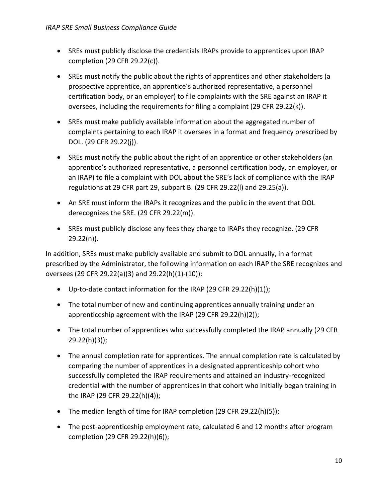- SREs must publicly disclose the credentials IRAPs provide to apprentices upon IRAP completion (29 CFR 29.22(c)).
- SREs must notify the public about the rights of apprentices and other stakeholders (a prospective apprentice, an apprentice's authorized representative, a personnel certification body, or an employer) to file complaints with the SRE against an IRAP it oversees, including the requirements for filing a complaint (29 CFR 29.22(k)).
- SREs must make publicly available information about the aggregated number of complaints pertaining to each IRAP it oversees in a format and frequency prescribed by DOL. (29 CFR 29.22(j)).
- SREs must notify the public about the right of an apprentice or other stakeholders (an apprentice's authorized representative, a personnel certification body, an employer, or an IRAP) to file a complaint with DOL about the SRE's lack of compliance with the IRAP regulations at 29 CFR part 29, subpart B. (29 CFR 29.22(l) and 29.25(a)).
- An SRE must inform the IRAPs it recognizes and the public in the event that DOL derecognizes the SRE. (29 CFR 29.22(m)).
- SREs must publicly disclose any fees they charge to IRAPs they recognize. (29 CFR 29.22(n)).

In addition, SREs must make publicly available and submit to DOL annually, in a format prescribed by the Administrator, the following information on each IRAP the SRE recognizes and oversees (29 CFR 29.22(a)(3) and 29.22(h)(1)-(10)):

- Up-to-date contact information for the IRAP (29 CFR 29.22(h)(1));
- The total number of new and continuing apprentices annually training under an apprenticeship agreement with the IRAP (29 CFR 29.22(h)(2));
- The total number of apprentices who successfully completed the IRAP annually (29 CFR 29.22(h)(3));
- The annual completion rate for apprentices. The annual completion rate is calculated by comparing the number of apprentices in a designated apprenticeship cohort who successfully completed the IRAP requirements and attained an industry-recognized credential with the number of apprentices in that cohort who initially began training in the IRAP (29 CFR 29.22(h)(4));
- The median length of time for IRAP completion (29 CFR 29.22(h)(5));
- The post-apprenticeship employment rate, calculated 6 and 12 months after program completion (29 CFR 29.22(h)(6));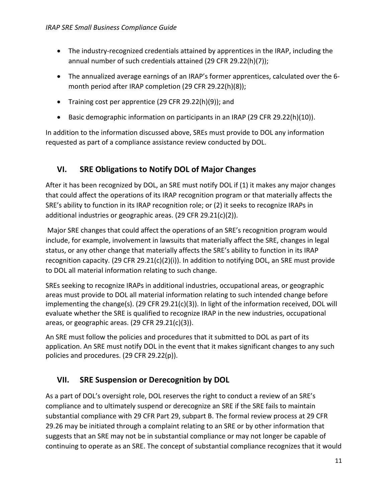- The industry-recognized credentials attained by apprentices in the IRAP, including the annual number of such credentials attained (29 CFR 29.22(h)(7));
- The annualized average earnings of an IRAP's former apprentices, calculated over the 6 month period after IRAP completion (29 CFR 29.22(h)(8));
- Training cost per apprentice (29 CFR 29.22(h)(9)); and
- Basic demographic information on participants in an IRAP (29 CFR 29.22(h)(10)).

In addition to the information discussed above, SREs must provide to DOL any information requested as part of a compliance assistance review conducted by DOL.

## <span id="page-12-0"></span>**VI. SRE Obligations to Notify DOL of Major Changes**

After it has been recognized by DOL, an SRE must notify DOL if (1) it makes any major changes that could affect the operations of its IRAP recognition program or that materially affects the SRE's ability to function in its IRAP recognition role; or (2) it seeks to recognize IRAPs in additional industries or geographic areas. (29 CFR 29.21(c)(2)).

Major SRE changes that could affect the operations of an SRE's recognition program would include, for example, involvement in lawsuits that materially affect the SRE, changes in legal status, or any other change that materially affects the SRE's ability to function in its IRAP recognition capacity.  $(29 \text{ CFR } 29.21(c)(2)(i))$ . In addition to notifying DOL, an SRE must provide to DOL all material information relating to such change.

SREs seeking to recognize IRAPs in additional industries, occupational areas, or geographic areas must provide to DOL all material information relating to such intended change before implementing the change(s). (29 CFR 29.21(c)(3)). In light of the information received, DOL will evaluate whether the SRE is qualified to recognize IRAP in the new industries, occupational areas, or geographic areas. (29 CFR 29.21(c)(3)).

An SRE must follow the policies and procedures that it submitted to DOL as part of its application. An SRE must notify DOL in the event that it makes significant changes to any such policies and procedures. (29 CFR 29.22(p)).

## <span id="page-12-1"></span>**VII. SRE Suspension or Derecognition by DOL**

As a part of DOL's oversight role, DOL reserves the right to conduct a review of an SRE's compliance and to ultimately suspend or derecognize an SRE if the SRE fails to maintain substantial compliance with 29 CFR Part 29, subpart B. The formal review process at 29 CFR 29.26 may be initiated through a complaint relating to an SRE or by other information that suggests that an SRE may not be in substantial compliance or may not longer be capable of continuing to operate as an SRE. The concept of substantial compliance recognizes that it would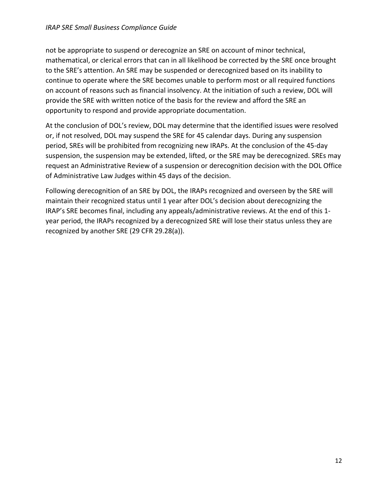#### *IRAP SRE Small Business Compliance Guide*

not be appropriate to suspend or derecognize an SRE on account of minor technical, mathematical, or clerical errors that can in all likelihood be corrected by the SRE once brought to the SRE's attention. An SRE may be suspended or derecognized based on its inability to continue to operate where the SRE becomes unable to perform most or all required functions on account of reasons such as financial insolvency. At the initiation of such a review, DOL will provide the SRE with written notice of the basis for the review and afford the SRE an opportunity to respond and provide appropriate documentation.

At the conclusion of DOL's review, DOL may determine that the identified issues were resolved or, if not resolved, DOL may suspend the SRE for 45 calendar days. During any suspension period, SREs will be prohibited from recognizing new IRAPs. At the conclusion of the 45-day suspension, the suspension may be extended, lifted, or the SRE may be derecognized. SREs may request an Administrative Review of a suspension or derecognition decision with the DOL Office of Administrative Law Judges within 45 days of the decision.

Following derecognition of an SRE by DOL, the IRAPs recognized and overseen by the SRE will maintain their recognized status until 1 year after DOL's decision about derecognizing the IRAP's SRE becomes final, including any appeals/administrative reviews. At the end of this 1 year period, the IRAPs recognized by a derecognized SRE will lose their status unless they are recognized by another SRE (29 CFR 29.28(a)).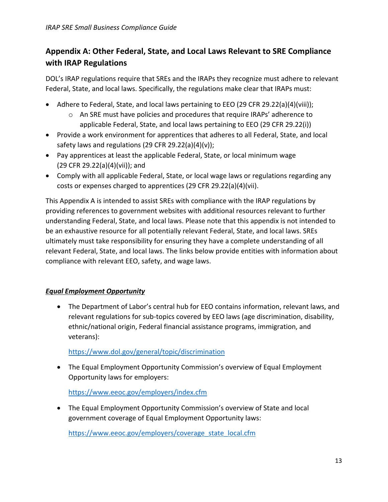# <span id="page-14-0"></span>**Appendix A: Other Federal, State, and Local Laws Relevant to SRE Compliance with IRAP Regulations**

DOL's IRAP regulations require that SREs and the IRAPs they recognize must adhere to relevant Federal, State, and local laws. Specifically, the regulations make clear that IRAPs must:

- Adhere to Federal, State, and local laws pertaining to EEO (29 CFR 29.22(a)(4)(viii));
	- o An SRE must have policies and procedures that require IRAPs' adherence to applicable Federal, State, and local laws pertaining to EEO (29 CFR 29.22(i))
- Provide a work environment for apprentices that adheres to all Federal, State, and local safety laws and regulations (29 CFR 29.22(a)(4)(v));
- Pay apprentices at least the applicable Federal, State, or local minimum wage (29 CFR 29.22(a)(4)(vii)); and
- Comply with all applicable Federal, State, or local wage laws or regulations regarding any costs or expenses charged to apprentices (29 CFR 29.22(a)(4)(vii).

This Appendix A is intended to assist SREs with compliance with the IRAP regulations by providing references to government websites with additional resources relevant to further understanding Federal, State, and local laws. Please note that this appendix is not intended to be an exhaustive resource for all potentially relevant Federal, State, and local laws. SREs ultimately must take responsibility for ensuring they have a complete understanding of all relevant Federal, State, and local laws. The links below provide entities with information about compliance with relevant EEO, safety, and wage laws.

#### *Equal Employment Opportunity*

• The Department of Labor's central hub for EEO contains information, relevant laws, and relevant regulations for sub-topics covered by EEO laws (age discrimination, disability, ethnic/national origin, Federal financial assistance programs, immigration, and veterans):

<https://www.dol.gov/general/topic/discrimination>

• The Equal Employment Opportunity Commission's overview of Equal Employment Opportunity laws for employers:

<https://www.eeoc.gov/employers/index.cfm>

• The Equal Employment Opportunity Commission's overview of State and local government coverage of Equal Employment Opportunity laws:

[https://www.eeoc.gov/employers/coverage\\_state\\_local.cfm](https://www.eeoc.gov/employers/coverage_state_local.cfm)